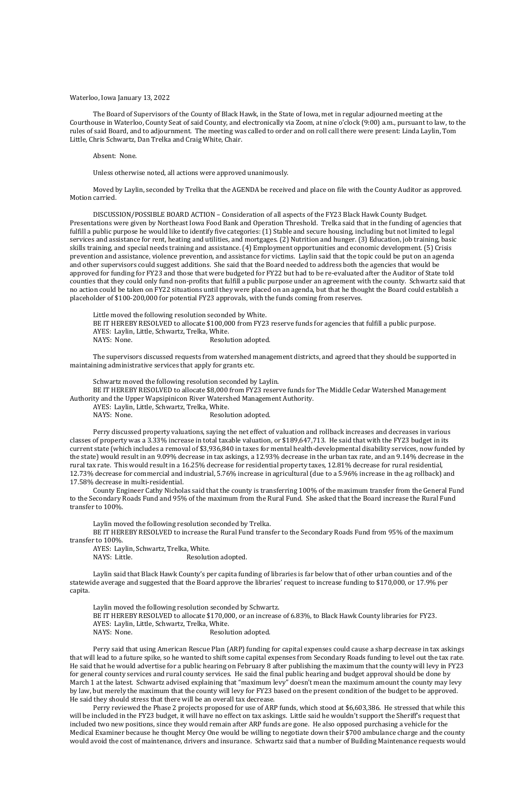## Waterloo, Iowa January 13, 2022

The Board of Supervisors of the County of Black Hawk, in the State of Iowa, met in regular adjourned meeting at the Courthouse in Waterloo, County Seat of said County, and electronically via Zoom, at nine o'clock (9:00) a.m., pursuant to law, to the rules of said Board, and to adjournment. The meeting was called to order and on roll call there were present: Linda Laylin, Tom Little, Chris Schwartz, Dan Trelka and Craig White, Chair.

Absent: None.

Unless otherwise noted, all actions were approved unanimously.

Moved by Laylin, seconded by Trelka that the AGENDA be received and place on file with the County Auditor as approved. Motion carried.

Little moved the following resolution seconded by White. BE IT HEREBY RESOLVED to allocate \$100,000 from FY23 reserve funds for agencies that fulfill a public purpose. AYES: Laylin, Little, Schwartz, Trelka, White. NAYS: None. Resolution adopted.

DISCUSSION/POSSIBLE BOARD ACTION – Consideration of all aspects of the FY23 Black Hawk County Budget. Presentations were given by Northeast Iowa Food Bank and Operation Threshold. Trelka said that in the funding of agencies that fulfill a public purpose he would like to identify five categories: (1) Stable and secure housing, including but not limited to legal services and assistance for rent, heating and utilities, and mortgages. (2) Nutrition and hunger. (3) Education, job training, basic skills training, and special needs training and assistance. (4) Employment opportunities and economic development. (5) Crisis prevention and assistance, violence prevention, and assistance for victims. Laylin said that the topic could be put on an agenda and other supervisors could suggest additions. She said that the Board needed to address both the agencies that would be approved for funding for FY23 and those that were budgeted for FY22 but had to be re-evaluated after the Auditor of State told counties that they could only fund non-profits that fulfill a public purpose under an agreement with the county. Schwartz said that no action could be taken on FY22 situations until they were placed on an agenda, but that he thought the Board could establish a placeholder of \$100-200,000 for potential FY23 approvals, with the funds coming from reserves.

The supervisors discussed requests from watershed management districts, and agreed that they should be supported in maintaining administrative services that apply for grants etc.

Schwartz moved the following resolution seconded by Laylin.

BE IT HEREBY RESOLVED to allocate \$8,000 from FY23 reserve funds for The Middle Cedar Watershed Management Authority and the Upper Wapsipinicon River Watershed Management Authority.

AYES: Laylin, Little, Schwartz, Trelka, White.

NAYS: None. Resolution adopted.

Perry discussed property valuations, saying the net effect of valuation and rollback increases and decreases in various classes of property was a 3.33% increase in total taxable valuation, or \$189,647,713. He said that with the FY23 budget in its current state (which includes a removal of \$3,936,840 in taxes for mental health-developmental disability services, now funded by the state) would result in an 9.09% decrease in tax askings, a 12.93% decrease in the urban tax rate, and an 9.14% decrease in the rural tax rate. This would result in a 16.25% decrease for residential property taxes, 12.81% decrease for rural residential, 12.73% decrease for commercial and industrial, 5.76% increase in agricultural (due to a 5.96% increase in the ag rollback) and 17.58% decrease in multi-residential.

County Engineer Cathy Nicholas said that the county is transferring 100% of the maximum transfer from the General Fund to the Secondary Roads Fund and 95% of the maximum from the Rural Fund. She asked that the Board increase the Rural Fund transfer to 100%.

Laylin moved the following resolution seconded by Trelka.

BE IT HEREBY RESOLVED to increase the Rural Fund transfer to the Secondary Roads Fund from 95% of the maximum transfer to 100%.

AYES: Laylin, Schwartz, Trelka, White.

NAYS: Little. Resolution adopted.

Laylin said that Black Hawk County's per capita funding of libraries is far below that of other urban counties and of the statewide average and suggested that the Board approve the libraries' request to increase funding to \$170,000, or 17.9% per capita.

Laylin moved the following resolution seconded by Schwartz.

BE IT HEREBY RESOLVED to allocate \$170,000, or an increase of 6.83%, to Black Hawk County libraries for FY23.

AYES: Laylin, Little, Schwartz, Trelka, White.

NAYS: None. Resolution adopted.

Perry said that using American Rescue Plan (ARP) funding for capital expenses could cause a sharp decrease in tax askings that will lead to a future spike, so he wanted to shift some capital expenses from Secondary Roads funding to level out the tax rate. He said that he would advertise for a public hearing on February 8 after publishing the maximum that the county will levy in FY23 for general county services and rural county services. He said the final public hearing and budget approval should be done by March 1 at the latest. Schwartz advised explaining that "maximum levy" doesn't mean the maximum amount the county may levy by law, but merely the maximum that the county will levy for FY23 based on the present condition of the budget to be approved. He said they should stress that there will be an overall tax decrease.

Perry reviewed the Phase 2 projects proposed for use of ARP funds, which stood at \$6,603,386. He stressed that while this will be included in the FY23 budget, it will have no effect on tax askings. Little said he wouldn't support the Sheriff's request that included two new positions, since they would remain after ARP funds are gone. He also opposed purchasing a vehicle for the Medical Examiner because he thought Mercy One would be willing to negotiate down their \$700 ambulance charge and the county would avoid the cost of maintenance, drivers and insurance. Schwartz said that a number of Building Maintenance requests would